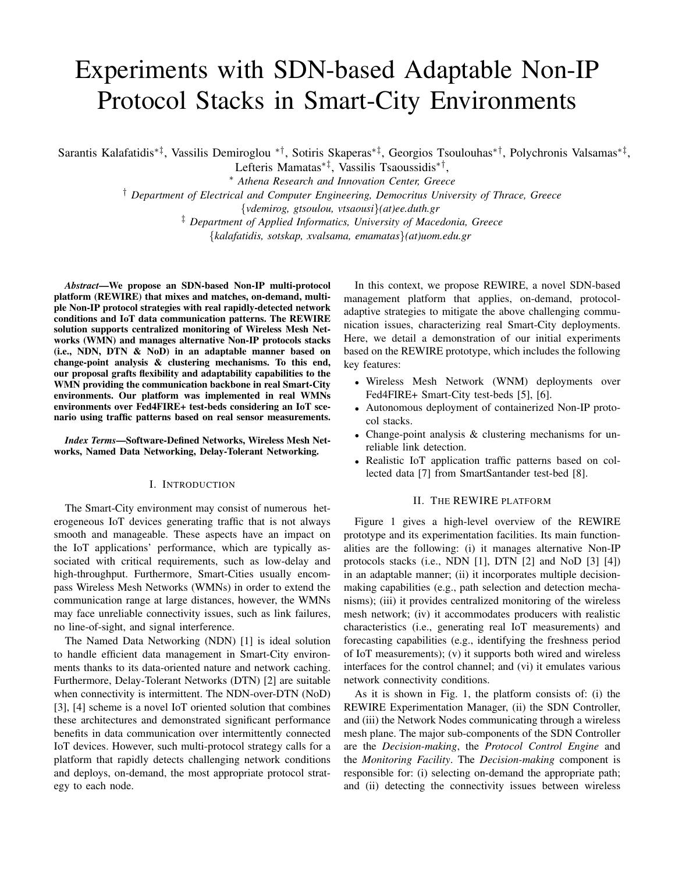# Experiments with SDN-based Adaptable Non-IP Protocol Stacks in Smart-City Environments

Sarantis Kalafatidis∗‡, Vassilis Demiroglou ∗†, Sotiris Skaperas∗‡, Georgios Tsoulouhas∗†, Polychronis Valsamas∗‡ ,

Lefteris Mamatas∗‡, Vassilis Tsaoussidis∗† , <sup>∗</sup> *Athena Research and Innovation Center, Greece*

† *Department of Electrical and Computer Engineering, Democritus University of Thrace, Greece*

{*vdemirog, gtsoulou, vtsaousi*}*(at)ee.duth.gr*

‡ *Department of Applied Informatics, University of Macedonia, Greece*

{*kalafatidis, sotskap, xvalsama, emamatas*}*(at)uom.edu.gr*

*Abstract*—We propose an SDN-based Non-IP multi-protocol platform (REWIRE) that mixes and matches, on-demand, multiple Non-IP protocol strategies with real rapidly-detected network conditions and IoT data communication patterns. The REWIRE solution supports centralized monitoring of Wireless Mesh Networks (WMN) and manages alternative Non-IP protocols stacks (i.e., NDN, DTN & NoD) in an adaptable manner based on change-point analysis & clustering mechanisms. To this end, our proposal grafts flexibility and adaptability capabilities to the WMN providing the communication backbone in real Smart-City environments. Our platform was implemented in real WMNs environments over Fed4FIRE+ test-beds considering an IoT scenario using traffic patterns based on real sensor measurements.

*Index Terms*—Software-Defined Networks, Wireless Mesh Networks, Named Data Networking, Delay-Tolerant Networking.

# I. INTRODUCTION

The Smart-City environment may consist of numerous heterogeneous IoT devices generating traffic that is not always smooth and manageable. These aspects have an impact on the IoT applications' performance, which are typically associated with critical requirements, such as low-delay and high-throughput. Furthermore, Smart-Cities usually encompass Wireless Mesh Networks (WMNs) in order to extend the communication range at large distances, however, the WMNs may face unreliable connectivity issues, such as link failures, no line-of-sight, and signal interference.

The Named Data Networking (NDN) [1] is ideal solution to handle efficient data management in Smart-City environments thanks to its data-oriented nature and network caching. Furthermore, Delay-Tolerant Networks (DTN) [2] are suitable when connectivity is intermittent. The NDN-over-DTN (NoD) [3], [4] scheme is a novel IoT oriented solution that combines these architectures and demonstrated significant performance benefits in data communication over intermittently connected IoT devices. However, such multi-protocol strategy calls for a platform that rapidly detects challenging network conditions and deploys, on-demand, the most appropriate protocol strategy to each node.

In this context, we propose REWIRE, a novel SDN-based management platform that applies, on-demand, protocoladaptive strategies to mitigate the above challenging communication issues, characterizing real Smart-City deployments. Here, we detail a demonstration of our initial experiments based on the REWIRE prototype, which includes the following key features:

- Wireless Mesh Network (WNM) deployments over Fed4FIRE+ Smart-City test-beds [5], [6].
- Autonomous deployment of containerized Non-IP protocol stacks.
- Change-point analysis & clustering mechanisms for unreliable link detection.
- Realistic IoT application traffic patterns based on collected data [7] from SmartSantander test-bed [8].

## II. THE REWIRE PLATFORM

Figure 1 gives a high-level overview of the REWIRE prototype and its experimentation facilities. Its main functionalities are the following: (i) it manages alternative Non-IP protocols stacks (i.e., NDN [1], DTN [2] and NoD [3] [4]) in an adaptable manner; (ii) it incorporates multiple decisionmaking capabilities (e.g., path selection and detection mechanisms); (iii) it provides centralized monitoring of the wireless mesh network; (iv) it accommodates producers with realistic characteristics (i.e., generating real IoT measurements) and forecasting capabilities (e.g., identifying the freshness period of IoT measurements); (v) it supports both wired and wireless interfaces for the control channel; and (vi) it emulates various network connectivity conditions.

As it is shown in Fig. 1, the platform consists of: (i) the REWIRE Experimentation Manager, (ii) the SDN Controller, and (iii) the Network Nodes communicating through a wireless mesh plane. The major sub-components of the SDN Controller are the *Decision-making*, the *Protocol Control Engine* and the *Monitoring Facility*. The *Decision-making* component is responsible for: (i) selecting on-demand the appropriate path; and (ii) detecting the connectivity issues between wireless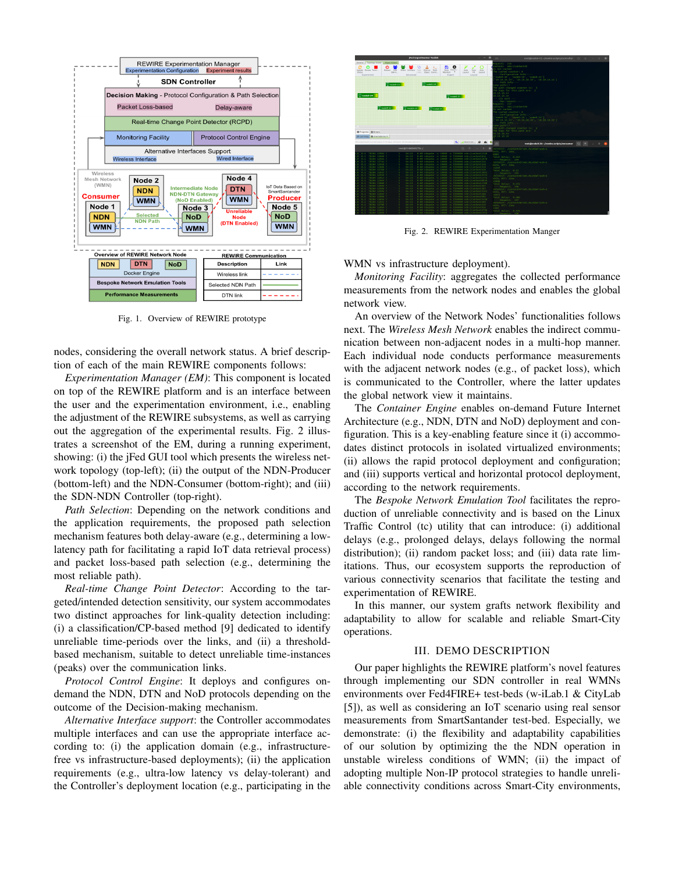

Fig. 1. Overview of REWIRE prototype

nodes, considering the overall network status. A brief description of each of the main REWIRE components follows:

*Experimentation Manager (EM)*: This component is located on top of the REWIRE platform and is an interface between the user and the experimentation environment, i.e., enabling the adjustment of the REWIRE subsystems, as well as carrying out the aggregation of the experimental results. Fig. 2 illustrates a screenshot of the EM, during a running experiment, showing: (i) the jFed GUI tool which presents the wireless network topology (top-left); (ii) the output of the NDN-Producer (bottom-left) and the NDN-Consumer (bottom-right); and (iii) the SDN-NDN Controller (top-right).

*Path Selection*: Depending on the network conditions and the application requirements, the proposed path selection mechanism features both delay-aware (e.g., determining a lowlatency path for facilitating a rapid IoT data retrieval process) and packet loss-based path selection (e.g., determining the most reliable path).

*Real-time Change Point Detector*: According to the targeted/intended detection sensitivity, our system accommodates two distinct approaches for link-quality detection including: (i) a classification/CP-based method [9] dedicated to identify unreliable time-periods over the links, and (ii) a thresholdbased mechanism, suitable to detect unreliable time-instances (peaks) over the communication links.

*Protocol Control Engine*: It deploys and configures ondemand the NDN, DTN and NoD protocols depending on the outcome of the Decision-making mechanism.

*Alternative Interface support*: the Controller accommodates multiple interfaces and can use the appropriate interface according to: (i) the application domain (e.g., infrastructurefree vs infrastructure-based deployments); (ii) the application requirements (e.g., ultra-low latency vs delay-tolerant) and the Controller's deployment location (e.g., participating in the



Fig. 2. REWIRE Experimentation Manger

WMN vs infrastructure deployment).

*Monitoring Facility*: aggregates the collected performance measurements from the network nodes and enables the global network view.

An overview of the Network Nodes' functionalities follows next. The *Wireless Mesh Network* enables the indirect communication between non-adjacent nodes in a multi-hop manner. Each individual node conducts performance measurements with the adjacent network nodes (e.g., of packet loss), which is communicated to the Controller, where the latter updates the global network view it maintains.

The *Container Engine* enables on-demand Future Internet Architecture (e.g., NDN, DTN and NoD) deployment and configuration. This is a key-enabling feature since it (i) accommodates distinct protocols in isolated virtualized environments; (ii) allows the rapid protocol deployment and configuration; and (iii) supports vertical and horizontal protocol deployment, according to the network requirements.

The *Bespoke Network Emulation Tool* facilitates the reproduction of unreliable connectivity and is based on the Linux Traffic Control (tc) utility that can introduce: (i) additional delays (e.g., prolonged delays, delays following the normal distribution); (ii) random packet loss; and (iii) data rate limitations. Thus, our ecosystem supports the reproduction of various connectivity scenarios that facilitate the testing and experimentation of REWIRE.

In this manner, our system grafts network flexibility and adaptability to allow for scalable and reliable Smart-City operations.

## III. DEMO DESCRIPTION

Our paper highlights the REWIRE platform's novel features through implementing our SDN controller in real WMNs environments over Fed4FIRE+ test-beds (w-iLab.1 & CityLab [5]), as well as considering an IoT scenario using real sensor measurements from SmartSantander test-bed. Especially, we demonstrate: (i) the flexibility and adaptability capabilities of our solution by optimizing the the NDN operation in unstable wireless conditions of WMN; (ii) the impact of adopting multiple Non-IP protocol strategies to handle unreliable connectivity conditions across Smart-City environments,